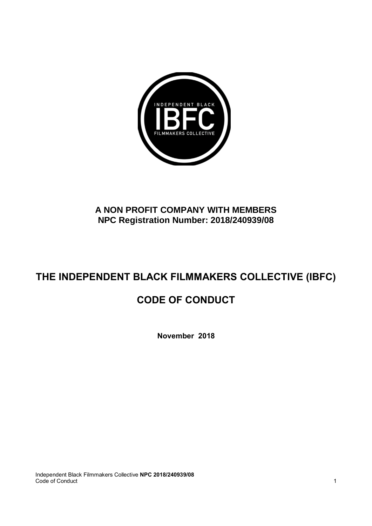

## **A NON PROFIT COMPANY WITH MEMBERS NPC Registration Number: 2018/240939/08**

# **THE INDEPENDENT BLACK FILMMAKERS COLLECTIVE (IBFC)**

## **CODE OF CONDUCT**

**November 2018**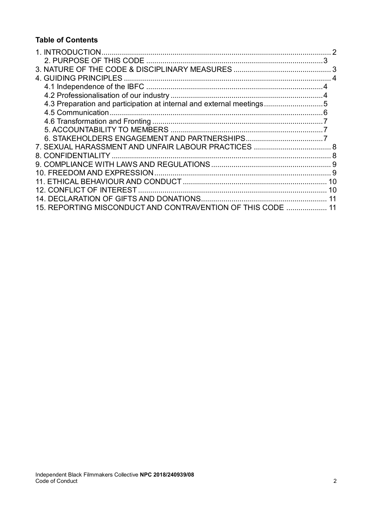#### **Table of Contents**

| 4.3 Preparation and participation at internal and external meetings |  |
|---------------------------------------------------------------------|--|
|                                                                     |  |
|                                                                     |  |
|                                                                     |  |
|                                                                     |  |
|                                                                     |  |
|                                                                     |  |
|                                                                     |  |
|                                                                     |  |
|                                                                     |  |
|                                                                     |  |
|                                                                     |  |
| 15. REPORTING MISCONDUCT AND CONTRAVENTION OF THIS CODE  11         |  |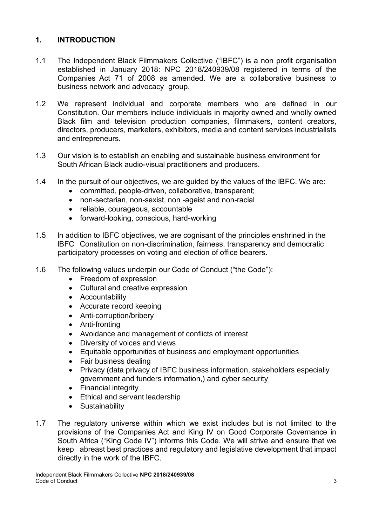#### <span id="page-2-0"></span>**1. INTRODUCTION**

- 1.1 The Independent Black Filmmakers Collective ("IBFC") is a non profit organisation established in January 2018: NPC 2018/240939/08 registered in terms of the Companies Act 71 of 2008 as amended. We are a collaborative business to business network and advocacy group.
- 1.2 We represent individual and corporate members who are defined in our Constitution. Our members include individuals in majority owned and wholly owned Black film and television production companies, filmmakers, content creators, directors, producers, marketers, exhibitors, media and content services industrialists and entrepreneurs.
- 1.3 Our vision is to establish an enabling and sustainable business environment for South African Black audio-visual practitioners and producers.
- 1.4 In the pursuit of our objectives, we are guided by the values of the IBFC. We are:
	- committed, people-driven, collaborative, transparent;
	- non-sectarian, non-sexist, non -ageist and non-racial
	- reliable, courageous, accountable
	- forward-looking, conscious, hard-working
- 1.5 In addition to IBFC objectives, we are cognisant of the principles enshrined in the IBFC Constitution on non-discrimination, fairness, transparency and democratic participatory processes on voting and election of office bearers.
- 1.6 The following values underpin our Code of Conduct ("the Code"):
	- Freedom of expression
	- Cultural and creative expression
	- Accountability
	- Accurate record keeping
	- Anti-corruption/bribery
	- Anti-fronting
	- Avoidance and management of conflicts of interest
	- Diversity of voices and views
	- Equitable opportunities of business and employment opportunities
	- Fair business dealing
	- Privacy (data privacy of IBFC business information, stakeholders especially government and funders information,) and cyber security
	- Financial integrity
	- Ethical and servant leadership
	- Sustainability
- 1.7 The regulatory universe within which we exist includes but is not limited to the provisions of the Companies Act and King IV on Good Corporate Governance in South Africa ("King Code IV") informs this Code. We will strive and ensure that we keep abreast best practices and regulatory and legislative development that impact directly in the work of the IBFC.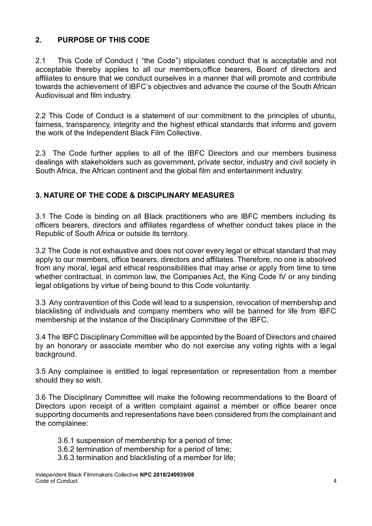## <span id="page-3-0"></span>**2. PURPOSE OF THIS CODE**

2.1 This Code of Conduct ( "the Code") stipulates conduct that is acceptable and not acceptable thereby applies to all our members,office bearers, Board of directors and affiliates to ensure that we conduct ourselves in a manner that will promote and contribute towards the achievement of IBFC's objectives and advance the course of the South African Audiovisual and film industry.

2.2 This Code of Conduct is a statement of our commitment to the principles of ubuntu, fairness, transparency, integrity and the highest ethical standards that informs and govern the work of the Independent Black Film Collective.

2.3 The Code further applies to all of the IBFC Directors and our members business dealings with stakeholders such as government, private sector, industry and civil society in South Africa, the African continent and the global film and entertainment industry.

## <span id="page-3-1"></span>**3. NATURE OF THE CODE & DISCIPLINARY MEASURES**

3.1 The Code is binding on all Black practitioners who are IBFC members including its officers bearers, directors and affiliates regardless of whether conduct takes place in the Republic of South Africa or outside its territory.

3.2 The Code is not exhaustive and does not cover every legal or ethical standard that may apply to our members, office bearers, directors and affiliates. Therefore, no one is absolved from any moral, legal and ethical responsibilities that may arise or apply from time to time whether contractual, in common law, the Companies Act, the King Code IV or any binding legal obligations by virtue of being bound to this Code voluntarily.

3.3 Any contravention of this Code will lead to a suspension, revocation of membership and blacklisting of individuals and company members who will be banned for life from IBFC membership at the instance of the Disciplinary Committee of the IBFC.

3.4 The IBFC Disciplinary Committee will be appointed by the Board of Directors and chaired by an honorary or associate member who do not exercise any voting rights with a legal background.

3.5 Any complainee is entitled to legal representation or representation from a member should they so wish.

3.6 The Disciplinary Committee will make the following recommendations to the Board of Directors upon receipt of a written complaint against a member or office bearer once supporting documents and representations have been considered from the complainant and the complainee:

- 3.6.1 suspension of membership for a period of time;
- 3.6.2 termination of membership for a period of time;
- 3.6.3 termination and blacklisting of a member for life;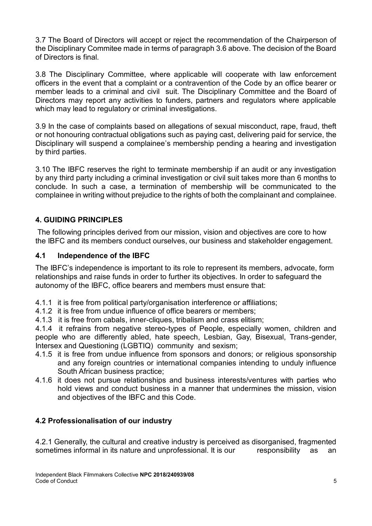3.7 The Board of Directors will accept or reject the recommendation of the Chairperson of the Disciplinary Commitee made in terms of paragraph 3.6 above. The decision of the Board of Directors is final.

3.8 The Disciplinary Committee, where applicable will cooperate with law enforcement officers in the event that a complaint or a contravention of the Code by an office bearer or member leads to a criminal and civil suit. The Disciplinary Committee and the Board of Directors may report any activities to funders, partners and regulators where applicable which may lead to regulatory or criminal investigations.

3.9 In the case of complaints based on allegations of sexual misconduct, rape, fraud, theft or not honouring contractual obligations such as paying cast, delivering paid for service, the Disciplinary will suspend a complainee's membership pending a hearing and investigation by third parties.

3.10 The IBFC reserves the right to terminate membership if an audit or any investigation by any third party including a criminal investigation or civil suit takes more than 6 months to conclude. In such a case, a termination of membership will be communicated to the complainee in writing without prejudice to the rights of both the complainant and complainee.

## <span id="page-4-0"></span>**4. GUIDING PRINCIPLES**

The following principles derived from our mission, vision and objectives are core to how the IBFC and its members conduct ourselves, our business and stakeholder engagement.

#### <span id="page-4-1"></span>**4.1 Independence of the IBFC**

The IBFC's independence is important to its role to represent its members, advocate, form relationships and raise funds in order to further its objectives. In order to safeguard the autonomy of the IBFC, office bearers and members must ensure that:

- 4.1.1 it is free from political party/organisation interference or affiliations;
- 4.1.2 it is free from undue influence of office bearers or members;
- 4.1.3 it is free from cabals, inner-cliques, tribalism and crass elitism;

4.1.4 it refrains from negative stereo-types of People, especially women, children and people who are differently abled, hate speech, Lesbian, Gay, Bisexual, Trans-gender, Intersex and Questioning (LGBTIQ) community and sexism;

- 4.1.5 it is free from undue influence from sponsors and donors; or religious sponsorship and any foreign countries or international companies intending to unduly influence South African business practice;
- 4.1.6 it does not pursue relationships and business interests/ventures with parties who hold views and conduct business in a manner that undermines the mission, vision and objectives of the IBFC and this Code.

#### <span id="page-4-2"></span>**4.2 Professionalisation of our industry**

4.2.1 Generally, the cultural and creative industry is perceived as disorganised, fragmented sometimes informal in its nature and unprofessional. It is our esponsibility as an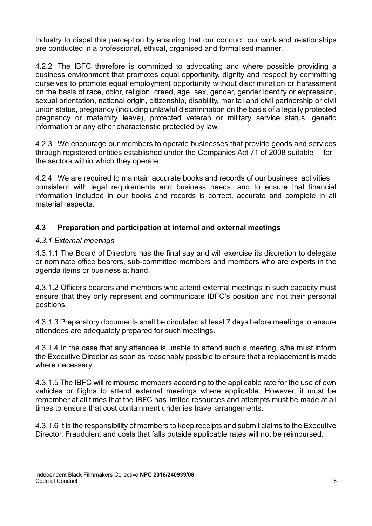industry to dispel this perception by ensuring that our conduct, our work and relationships are conducted in a professional, ethical, organised and formalised manner.

4.2.2 The IBFC therefore is committed to advocating and where possible providing a business environment that promotes equal opportunity, dignity and respect by committing ourselves to promote equal employment opportunity without discrimination or harassment on the basis of race, color, religion, creed, age, sex, gender, gender identity or expression, sexual orientation, national origin, citizenship, disability, marital and civil partnership or civil union status, pregnancy (including unlawful discrimination on the basis of a legally protected pregnancy or maternity leave), protected veteran or military service status, genetic information or any other characteristic protected by law.

4.2.3 We encourage our members to operate businesses that provide goods and services through registered entities established under the Companies Act 71 of 2008 suitable for the sectors within which they operate.

4.2.4 We are required to maintain accurate books and records of our business activities consistent with legal requirements and business needs, and to ensure that financial information included in our books and records is correct, accurate and complete in all material respects.

## <span id="page-5-0"></span>**4.3 Preparation and participation at internal and external meetings**

#### *4.3.1 External meetings*

4.3.1.1 The Board of Directors has the final say and will exercise its discretion to delegate or nominate office bearers, sub-committee members and members who are experts in the agenda items or business at hand.

4.3.1.2 Officers bearers and members who attend external meetings in such capacity must ensure that they only represent and communicate IBFC's position and not their personal positions.

4.3.1.3 Preparatory documents shall be circulated at least 7 days before meetings to ensure attendees are adequately prepared for such meetings.

4.3.1.4 In the case that any attendee is unable to attend such a meeting, s/he must inform the Executive Director as soon as reasonably possible to ensure that a replacement is made where necessary.

4.3.1.5 The IBFC will reimburse members according to the applicable rate for the use of own vehicles or flights to attend external meetings where applicable. However, it must be remember at all times that the IBFC has limited resources and attempts must be made at all times to ensure that cost containment underlies travel arrangements.

4.3.1.6 It is the responsibility of members to keep receipts and submit claims to the Executive Director. Fraudulent and costs that falls outside applicable rates will not be reimbursed.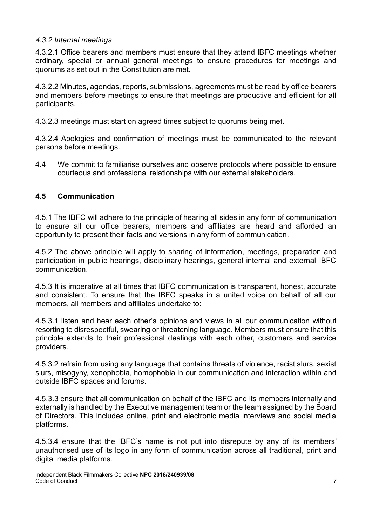#### *4.3.2 Internal meetings*

4.3.2.1 Office bearers and members must ensure that they attend IBFC meetings whether ordinary, special or annual general meetings to ensure procedures for meetings and quorums as set out in the Constitution are met.

4.3.2.2 Minutes, agendas, reports, submissions, agreements must be read by office bearers and members before meetings to ensure that meetings are productive and efficient for all participants.

4.3.2.3 meetings must start on agreed times subject to quorums being met.

4.3.2.4 Apologies and confirmation of meetings must be communicated to the relevant persons before meetings.

4.4 We commit to familiarise ourselves and observe protocols where possible to ensure courteous and professional relationships with our external stakeholders.

#### <span id="page-6-0"></span>**4.5 Communication**

4.5.1 The IBFC will adhere to the principle of hearing all sides in any form of communication to ensure all our office bearers, members and affiliates are heard and afforded an opportunity to present their facts and versions in any form of communication.

4.5.2 The above principle will apply to sharing of information, meetings, preparation and participation in public hearings, disciplinary hearings, general internal and external IBFC communication.

4.5.3 It is imperative at all times that IBFC communication is transparent, honest, accurate and consistent. To ensure that the IBFC speaks in a united voice on behalf of all our members, all members and affiliates undertake to:

4.5.3.1 listen and hear each other's opinions and views in all our communication without resorting to disrespectful, swearing or threatening language. Members must ensure that this principle extends to their professional dealings with each other, customers and service providers.

4.5.3.2 refrain from using any language that contains threats of violence, racist slurs, sexist slurs, misogyny, xenophobia, homophobia in our communication and interaction within and outside IBFC spaces and forums.

4.5.3.3 ensure that all communication on behalf of the IBFC and its members internally and externally is handled by the Executive management team or the team assigned by the Board of Directors. This includes online, print and electronic media interviews and social media platforms.

4.5.3.4 ensure that the IBFC's name is not put into disrepute by any of its members' unauthorised use of its logo in any form of communication across all traditional, print and digital media platforms.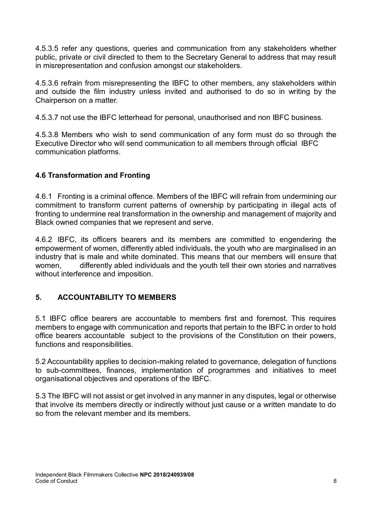4.5.3.5 refer any questions, queries and communication from any stakeholders whether public, private or civil directed to them to the Secretary General to address that may result in misrepresentation and confusion amongst our stakeholders.

4.5.3.6 refrain from misrepresenting the IBFC to other members, any stakeholders within and outside the film industry unless invited and authorised to do so in writing by the Chairperson on a matter.

4.5.3.7 not use the IBFC letterhead for personal, unauthorised and non IBFC business.

4.5.3.8 Members who wish to send communication of any form must do so through the Executive Director who will send communication to all members through official IBFC communication platforms.

## <span id="page-7-0"></span>**4.6 Transformation and Fronting**

4.6.1 Fronting is a criminal offence. Members of the IBFC will refrain from undermining our commitment to transform current patterns of ownership by participating in illegal acts of fronting to undermine real transformation in the ownership and management of majority and Black owned companies that we represent and serve.

4.6.2 IBFC, its officers bearers and its members are committed to engendering the empowerment of women, differently abled individuals, the youth who are marginalised in an industry that is male and white dominated. This means that our members will ensure that women, differently abled individuals and the youth tell their own stories and narratives without interference and imposition.

## <span id="page-7-1"></span>**5. ACCOUNTABILITY TO MEMBERS**

5.1 IBFC office bearers are accountable to members first and foremost. This requires members to engage with communication and reports that pertain to the IBFC in order to hold office bearers accountable subject to the provisions of the Constitution on their powers, functions and responsibilities.

5.2 Accountability applies to decision-making related to governance, delegation of functions to sub-committees, finances, implementation of programmes and initiatives to meet organisational objectives and operations of the IBFC.

5.3 The IBFC will not assist or get involved in any manner in any disputes, legal or otherwise that involve its members directly or indirectly without just cause or a written mandate to do so from the relevant member and its members.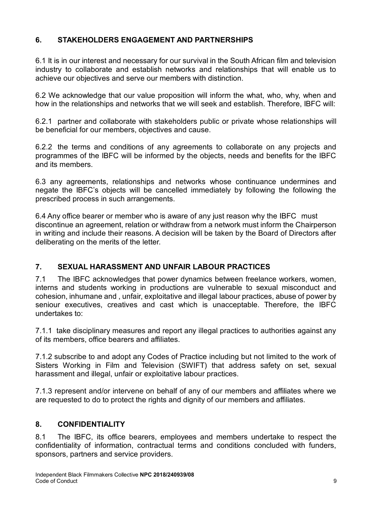## <span id="page-8-0"></span>**6. STAKEHOLDERS ENGAGEMENT AND PARTNERSHIPS**

6.1 It is in our interest and necessary for our survival in the South African film and television industry to collaborate and establish networks and relationships that will enable us to achieve our objectives and serve our members with distinction.

6.2 We acknowledge that our value proposition will inform the what, who, why, when and how in the relationships and networks that we will seek and establish. Therefore, IBFC will:

6.2.1 partner and collaborate with stakeholders public or private whose relationships will be beneficial for our members, objectives and cause.

6.2.2 the terms and conditions of any agreements to collaborate on any projects and programmes of the IBFC will be informed by the objects, needs and benefits for the IBFC and its members.

6.3 any agreements, relationships and networks whose continuance undermines and negate the IBFC's objects will be cancelled immediately by following the following the prescribed process in such arrangements.

6.4 Any office bearer or member who is aware of any just reason why the IBFC must discontinue an agreement, relation or withdraw from a network must inform the Chairperson in writing and include their reasons. A decision will be taken by the Board of Directors after deliberating on the merits of the letter.

## <span id="page-8-1"></span>**7. SEXUAL HARASSMENT AND UNFAIR LABOUR PRACTICES**

7.1 The IBFC acknowledges that power dynamics between freelance workers, women, interns and students working in productions are vulnerable to sexual misconduct and cohesion, inhumane and , unfair, exploitative and illegal labour practices, abuse of power by seniour executives, creatives and cast which is unacceptable. Therefore, the IBFC undertakes to:

7.1.1 take disciplinary measures and report any illegal practices to authorities against any of its members, office bearers and affiliates.

7.1.2 subscribe to and adopt any Codes of Practice including but not limited to the work of Sisters Working in Film and Television (SWIFT) that address safety on set, sexual harassment and illegal, unfair or exploitative labour practices.

7.1.3 represent and/or intervene on behalf of any of our members and affiliates where we are requested to do to protect the rights and dignity of our members and affiliates.

## <span id="page-8-2"></span>**8. CONFIDENTIALITY**

8.1 The IBFC, its office bearers, employees and members undertake to respect the confidentiality of information, contractual terms and conditions concluded with funders, sponsors, partners and service providers.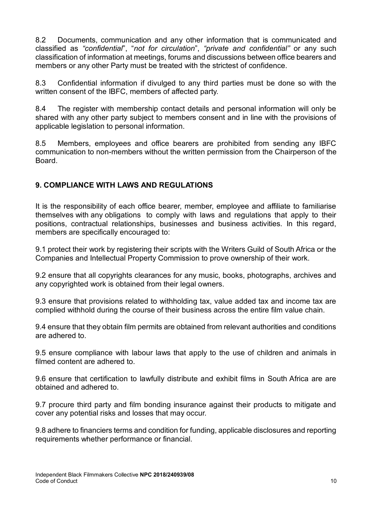8.2 Documents, communication and any other information that is communicated and classified as *"confidential*", "*not for circulation*", *"private and confidential"* or any such classification of information at meetings, forums and discussions between office bearers and members or any other Party must be treated with the strictest of confidence.

8.3 Confidential information if divulged to any third parties must be done so with the written consent of the IBFC, members of affected party.

8.4 The register with membership contact details and personal information will only be shared with any other party subject to members consent and in line with the provisions of applicable legislation to personal information.

8.5 Members, employees and office bearers are prohibited from sending any IBFC communication to non-members without the written permission from the Chairperson of the Board.

## <span id="page-9-0"></span>**9. COMPLIANCE WITH LAWS AND REGULATIONS**

It is the responsibility of each office bearer, member, employee and affiliate to familiarise themselves with any obligations to comply with laws and regulations that apply to their positions, contractual relationships, businesses and business activities. In this regard, members are specifically encouraged to:

9.1 protect their work by registering their scripts with the Writers Guild of South Africa or the Companies and Intellectual Property Commission to prove ownership of their work.

9.2 ensure that all copyrights clearances for any music, books, photographs, archives and any copyrighted work is obtained from their legal owners.

9.3 ensure that provisions related to withholding tax, value added tax and income tax are complied withhold during the course of their business across the entire film value chain.

9.4 ensure that they obtain film permits are obtained from relevant authorities and conditions are adhered to.

9.5 ensure compliance with labour laws that apply to the use of children and animals in filmed content are adhered to

9.6 ensure that certification to lawfully distribute and exhibit films in South Africa are are obtained and adhered to.

9.7 procure third party and film bonding insurance against their products to mitigate and cover any potential risks and losses that may occur.

9.8 adhere to financiers terms and condition for funding, applicable disclosures and reporting requirements whether performance or financial.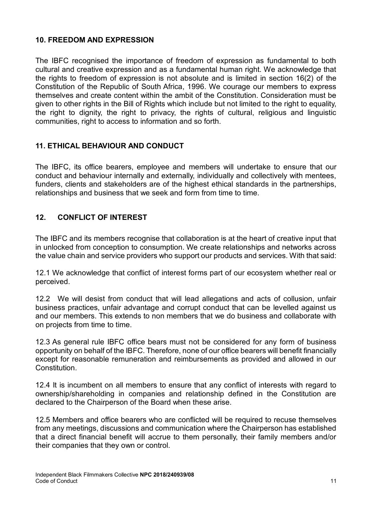#### <span id="page-10-0"></span>**10. FREEDOM AND EXPRESSION**

The IBFC recognised the importance of freedom of expression as fundamental to both cultural and creative expression and as a fundamental human right. We acknowledge that the rights to freedom of expression is not absolute and is limited in section 16(2) of the Constitution of the Republic of South Africa, 1996. We courage our members to express themselves and create content within the ambit of the Constitution. Consideration must be given to other rights in the Bill of Rights which include but not limited to the right to equality, the right to dignity, the right to privacy, the rights of cultural, religious and linguistic communities, right to access to information and so forth.

## <span id="page-10-1"></span>**11. ETHICAL BEHAVIOUR AND CONDUCT**

The IBFC, its office bearers, employee and members will undertake to ensure that our conduct and behaviour internally and externally, individually and collectively with mentees, funders, clients and stakeholders are of the highest ethical standards in the partnerships, relationships and business that we seek and form from time to time.

## <span id="page-10-2"></span>**12. CONFLICT OF INTEREST**

The IBFC and its members recognise that collaboration is at the heart of creative input that in unlocked from conception to consumption. We create relationships and networks across the value chain and service providers who support our products and services. With that said:

12.1 We acknowledge that conflict of interest forms part of our ecosystem whether real or perceived.

12.2 We will desist from conduct that will lead allegations and acts of collusion, unfair business practices, unfair advantage and corrupt conduct that can be levelled against us and our members. This extends to non members that we do business and collaborate with on projects from time to time.

12.3 As general rule IBFC office bears must not be considered for any form of business opportunity on behalf of the IBFC. Therefore, none of our office bearers will benefit financially except for reasonable remuneration and reimbursements as provided and allowed in our Constitution.

12.4 It is incumbent on all members to ensure that any conflict of interests with regard to ownership/shareholding in companies and relationship defined in the Constitution are declared to the Chairperson of the Board when these arise.

12.5 Members and office bearers who are conflicted will be required to recuse themselves from any meetings, discussions and communication where the Chairperson has established that a direct financial benefit will accrue to them personally, their family members and/or their companies that they own or control.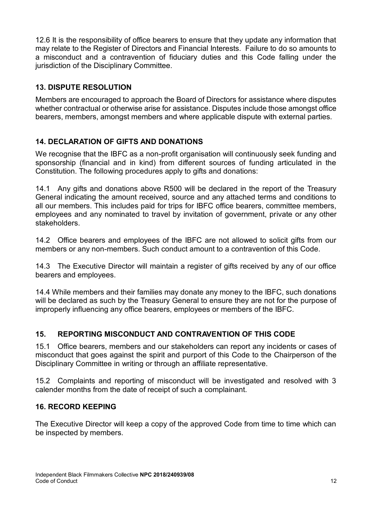12.6 It is the responsibility of office bearers to ensure that they update any information that may relate to the Register of Directors and Financial Interests. Failure to do so amounts to a misconduct and a contravention of fiduciary duties and this Code falling under the jurisdiction of the Disciplinary Committee.

## **13. DISPUTE RESOLUTION**

Members are encouraged to approach the Board of Directors for assistance where disputes whether contractual or otherwise arise for assistance. Disputes include those amongst office bearers, members, amongst members and where applicable dispute with external parties.

## <span id="page-11-0"></span>**14. DECLARATION OF GIFTS AND DONATIONS**

We recognise that the IBFC as a non-profit organisation will continuously seek funding and sponsorship (financial and in kind) from different sources of funding articulated in the Constitution. The following procedures apply to gifts and donations:

14.1 Any gifts and donations above R500 will be declared in the report of the Treasury General indicating the amount received, source and any attached terms and conditions to all our members. This includes paid for trips for IBFC office bearers, committee members, employees and any nominated to travel by invitation of government, private or any other stakeholders.

14.2 Office bearers and employees of the IBFC are not allowed to solicit gifts from our members or any non-members. Such conduct amount to a contravention of this Code.

14.3 The Executive Director will maintain a register of gifts received by any of our office bearers and employees.

14.4 While members and their families may donate any money to the IBFC, such donations will be declared as such by the Treasury General to ensure they are not for the purpose of improperly influencing any office bearers, employees or members of the IBFC.

## <span id="page-11-1"></span>**15. REPORTING MISCONDUCT AND CONTRAVENTION OF THIS CODE**

15.1 Office bearers, members and our stakeholders can report any incidents or cases of misconduct that goes against the spirit and purport of this Code to the Chairperson of the Disciplinary Committee in writing or through an affiliate representative.

15.2 Complaints and reporting of misconduct will be investigated and resolved with 3 calender months from the date of receipt of such a complainant.

#### **16. RECORD KEEPING**

The Executive Director will keep a copy of the approved Code from time to time which can be inspected by members.